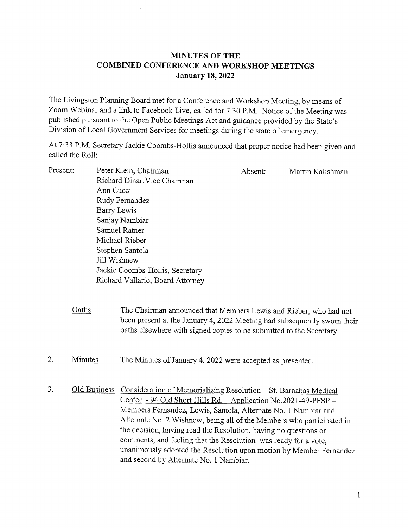## MINUTES OF THE COMBINED CONFERENCE AND WORKSHOP MEETINGS January 18, 2022

The Livingston Planning Board met for <sup>a</sup> Conference and Workshop Meeting, by means of Zoom Webinar and <sup>a</sup> link to Facebook Live, called for 7:30 P.M. Notice of the Meeting was published pursuant to the Open Public Meetings Act and guidance provided by the State's Division of Local Government Services for meetings during the state of emergency.

At 7:33 P.M. Secretary Jackie Coombs-Hollis announced that proper notice had been given and called the Roll:

- Present: Peter Klein, Chairman Absent: Martin Kalishman Richard Dinar, Vice Chairman Ann Cucci Rudy Fernandez Barry Lewis Sanjay Nambiar Samuel Rather Michael Rieber Stephen Santola Jill Wishnew Jackie Coombs-Hollis, Secretary Richard Vallario, Board Attorney
- 1. Oaths The Chairman announced that Members Lewis and Rieber, who had not been present at the January 4, 2022 Meeting had subsequently sworn their oaths elsewhere with signed copies to be submitted to the Secretary.
- 2. Minutes The Minutes of January 4, 2022 were accepted as presented.
- 3. Old Business Consideration of Memorializing Resolution St. Barnabas Medical Center - 94 Old Short Hills Rd. — Application No.2021-49-PFSP — Members Fernandez, Lewis, Santola, Alternate No. <sup>1</sup> Nambiar and Alternate No. 2 Wishnew, being all of the Members who participated in the decision, having read the Resolution, having no questions or comments, and feeling that the Resolution was ready for a vote, unanimously adopted the Resolution upon motion by Member Fernandez and second by Alternate No. <sup>1</sup> Nambiar.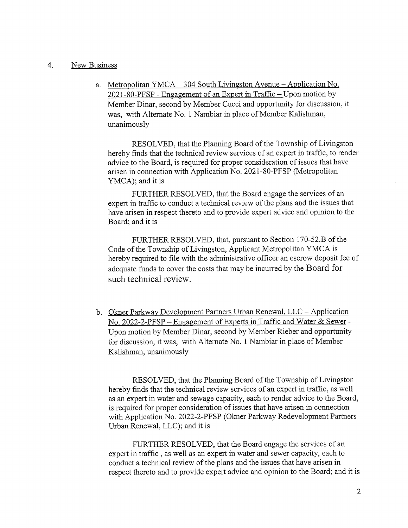## 4. New Business

a. Metropolitan YMCA — 304 South Livingston Avenue — Application No. 2021-80-PFSP - Engagement of an Expert in Traffic — Upon motion by Member Dinar, second by Member Cucci and opportunity for discussion, it was, with Alternate No. <sup>1</sup> Nambiar in place of Member Kalishman, unanimously

RESOLVED, that the Planning Board of the Township of Livingston hereby finds that the technical review services of an expert in traffic, to render advice to the Board, is required for proper consideration of issues that have arisen in connection with Application No. 2021-80-PFSP (Metropolitan YMCA); and it is

FURTHER RESOLVED, that the Board engage the services of an expert in traffic to conduct <sup>a</sup> technical review of the plans and the issues that have arisen in respect thereto and to provide expert advice and opinion to the Board; and it is

FURTHER RESOLVED, that, pursuant to Section 170-52.B of the Code of the Township of Livingston, Applicant Metropolitan YMCA is hereby required to file with the administrative officer an escrow deposit fee of adequate funds to cover the costs that may be incurred by the Board for such technical review.

b. Okner Parkway Development Partners Urban Renewal, LLC — Application No. 2022-2-PFSP – Engagement of Experts in Traffic and Water & Sewer -Upon motion by Member Dinar, second by Member Rieber and opportunity for discussion, it was, with Alternate No. <sup>1</sup> Nambiar in place of Member Kalishman, unanimously

RESOLVED, that the Planning Board of the Township of Livingston hereby finds that the technical review services of an expert in traffic, as well as an expert in water and sewage capacity, each to render advice to the Board, is required for proper consideration of issues that have arisen in connection with Application No. 2022-2-PFSP (Okner Parkway Redevelopment Partners Urban Renewal, LLC); and it is

FURTHER RESOLVED, that the Board engage the services of an expert in traffic, as well as an expert in water and sewer capacity, each to conduct <sup>a</sup> technical review of the plans and the issues that have arisen in respect thereto and to provide expert advice and opinion to the Board; and it is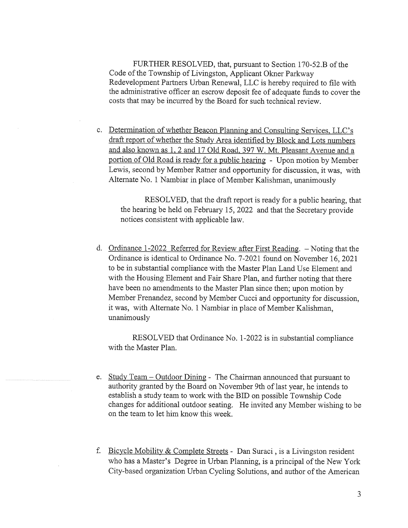FURTHER RESOLVED, that, pursuant to Section 170-52.B of the Code of the Township of Livingston, Applicant Okner Parkway Redevelopment Partners Urban Renewal, LLC is hereby required to file with the administrative officer an escrow deposit fee of adequate funds to cover the costs that may be incurred by the Board for such technical review.

c. Determination of whether Beacon Planning and Consulting Services, LLC's draft report of whether the Study Area identified by Block and Lots numbers and also known as 1, 2 and 17 Old Road, 397 W. Mt. Pleasant Avenue and a portion of Old Road is ready for <sup>a</sup> public hearing - Upon motion by Member Lewis, second by Member Ratner and opportunity for discussion, it was, with Alternate No. <sup>1</sup> Nambiar in place of Member Kalishman, unanimously

RESOLVED, that the draft report is ready for a public hearing, that the hearing be held on February 15, 2022 and that the Secretary provide notices consistent with applicable law.

d. Ordinance 1-2022 Referred for Review after First Reading. — Noting that the Ordinance is identical to Ordinance No. 7-2021 found on November 16, 2021 to be in substantial compliance with the Master Plan Land Use Element and with the Housing Element and Fair Share Plan, and further noting that there have been no amendments to the Master Plan since then; upon motion by Member Frenandez, second by Member Cucci and opportunity for discussion, it was, with Alternate No. <sup>1</sup> Nambiar in place of Member Kalishman, unanimously

RESOLVED that Ordinance No. 1-2022 is in substantial compliance with the Master Plan.

- e. Study Team Outdoor Dining The Chairman announced that pursuant to authority granted by the Board on November 9th of last year, he intends to establish <sup>a</sup> study team to work with the BID on possible Township Code changes for additional outdoor seating. He invited any Member wishing to be on the team to let him know this week.
- f. Bicycle Mobility & Complete Streets Dan Suraci, is <sup>a</sup> Livingston resident who has <sup>a</sup> Master's Degree in Urban Planning, is <sup>a</sup> principal of the New York City-based organization Urban Cycling Solutions, and author of the American